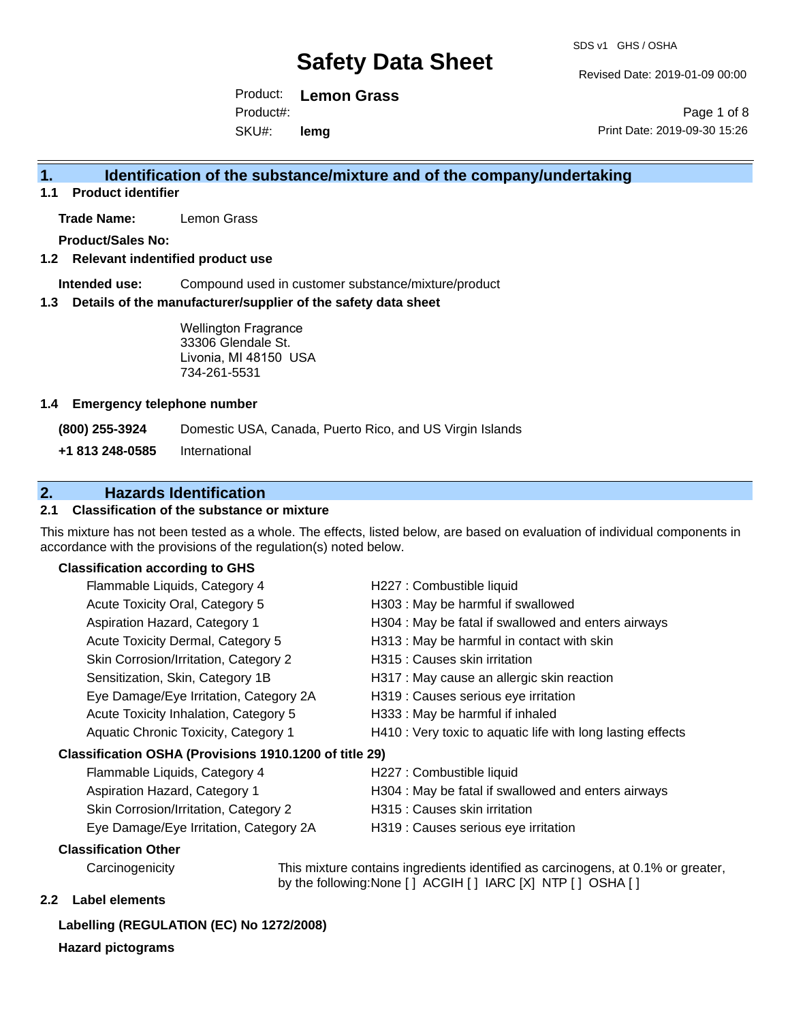Revised Date: 2019-01-09 00:00

Product: **Lemon Grass** SKU#: Product#: **lemg**

Page 1 of 8 Print Date: 2019-09-30 15:26

#### **1. Identification of the substance/mixture and of the company/undertaking**

**1.1 Product identifier**

**Trade Name:** Lemon Grass

**Product/Sales No:**

#### **1.2 Relevant indentified product use**

**Intended use:** Compound used in customer substance/mixture/product

#### **1.3 Details of the manufacturer/supplier of the safety data sheet**

Wellington Fragrance 33306 Glendale St. Livonia, MI 48150 USA 734-261-5531

#### **1.4 Emergency telephone number**

**(800) 255-3924** Domestic USA, Canada, Puerto Rico, and US Virgin Islands

**+1 813 248-0585** International

#### **2. Hazards Identification**

#### **2.1 Classification of the substance or mixture**

This mixture has not been tested as a whole. The effects, listed below, are based on evaluation of individual components in accordance with the provisions of the regulation(s) noted below.

#### **Classification according to GHS**

| Flammable Liquids, Category 4                          | H227 : Combustible liquid                                   |
|--------------------------------------------------------|-------------------------------------------------------------|
| Acute Toxicity Oral, Category 5                        | H303 : May be harmful if swallowed                          |
| Aspiration Hazard, Category 1                          | H304 : May be fatal if swallowed and enters airways         |
| Acute Toxicity Dermal, Category 5                      | H313 : May be harmful in contact with skin                  |
| Skin Corrosion/Irritation, Category 2                  | H315 : Causes skin irritation                               |
| Sensitization, Skin, Category 1B                       | H317 : May cause an allergic skin reaction                  |
| Eye Damage/Eye Irritation, Category 2A                 | H319 : Causes serious eye irritation                        |
| Acute Toxicity Inhalation, Category 5                  | H333: May be harmful if inhaled                             |
| Aquatic Chronic Toxicity, Category 1                   | H410 : Very toxic to aquatic life with long lasting effects |
| Classification OSHA (Provisions 1910.1200 of title 29) |                                                             |
| Flammable Liquids, Category 4                          | H227 : Combustible liquid                                   |
|                                                        |                                                             |

| Flammable Liquids, Category 4          | H227 : Combustible liquid                           |
|----------------------------------------|-----------------------------------------------------|
| Aspiration Hazard, Category 1          | H304 : May be fatal if swallowed and enters airways |
| Skin Corrosion/Irritation, Category 2  | H315 : Causes skin irritation                       |
| Eye Damage/Eye Irritation, Category 2A | H319 : Causes serious eye irritation                |

#### **Classification Other**

Carcinogenicity This mixture contains ingredients identified as carcinogens, at 0.1% or greater, by the following:None [ ] ACGIH [ ] IARC [X] NTP [ ] OSHA [ ]

#### **2.2 Label elements**

#### **Labelling (REGULATION (EC) No 1272/2008)**

**Hazard pictograms**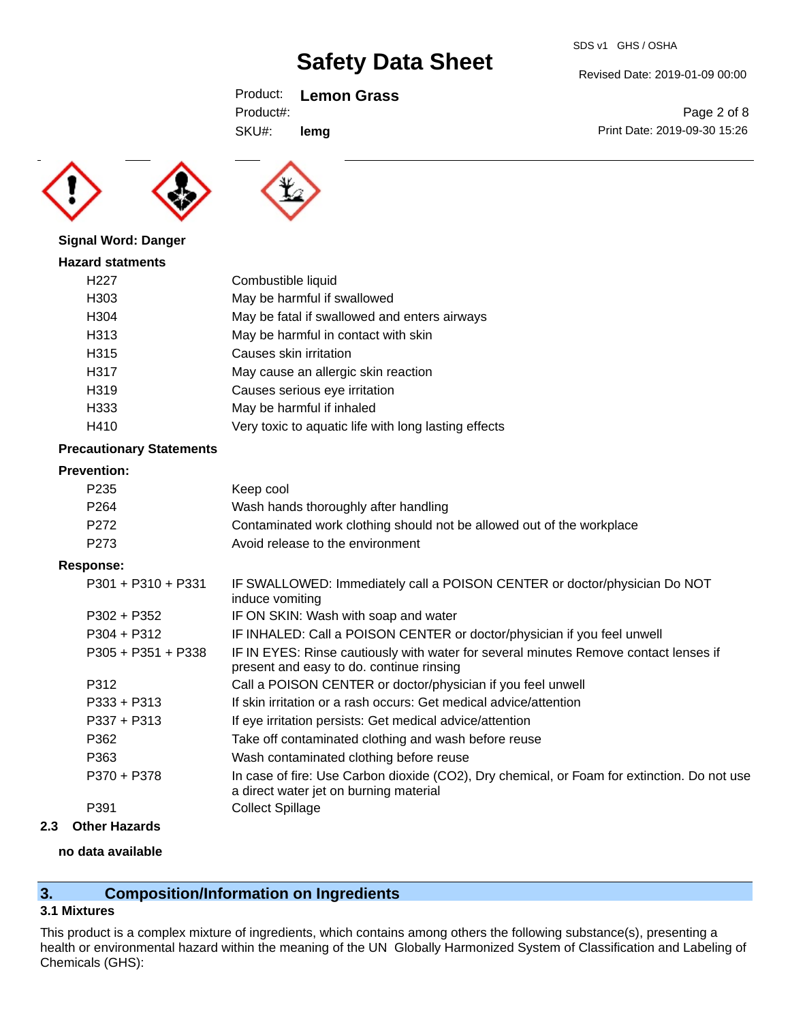SDS v1 GHS / OSHA

Revised Date: 2019-01-09 00:00

Print Date: 2019-09-30 15:26

Page 2 of 8

Product: **Lemon Grass**

**lemg**

SKU#: Product#:





|  |  | <b>Signal Word: Danger</b> |
|--|--|----------------------------|
|--|--|----------------------------|

#### **Hazard statments**

| H <sub>22</sub> 7 | Combustible liquid                                   |
|-------------------|------------------------------------------------------|
| H <sub>303</sub>  | May be harmful if swallowed                          |
| H <sub>304</sub>  | May be fatal if swallowed and enters airways         |
| H313              | May be harmful in contact with skin                  |
| H315              | Causes skin irritation                               |
| H317              | May cause an allergic skin reaction                  |
| H319              | Causes serious eye irritation                        |
| H333              | May be harmful if inhaled                            |
| H410              | Very toxic to aquatic life with long lasting effects |

#### **Precautionary Statements**

#### **Prevention:**

| P <sub>235</sub> | Keep cool                                                             |
|------------------|-----------------------------------------------------------------------|
| P <sub>264</sub> | Wash hands thoroughly after handling                                  |
| P272             | Contaminated work clothing should not be allowed out of the workplace |
| P273             | Avoid release to the environment                                      |
|                  |                                                                       |

#### **Response:**

| $P301 + P310 + P331$ | IF SWALLOWED: Immediately call a POISON CENTER or doctor/physician Do NOT<br>induce vomiting                                          |
|----------------------|---------------------------------------------------------------------------------------------------------------------------------------|
| $P302 + P352$        | IF ON SKIN: Wash with soap and water                                                                                                  |
| $P304 + P312$        | IF INHALED: Call a POISON CENTER or doctor/physician if you feel unwell                                                               |
| $P305 + P351 + P338$ | IF IN EYES: Rinse cautiously with water for several minutes Remove contact lenses if<br>present and easy to do. continue rinsing      |
| P312                 | Call a POISON CENTER or doctor/physician if you feel unwell                                                                           |
| $P333 + P313$        | If skin irritation or a rash occurs: Get medical advice/attention                                                                     |
| $P337 + P313$        | If eye irritation persists: Get medical advice/attention                                                                              |
| P362                 | Take off contaminated clothing and wash before reuse                                                                                  |
| P363                 | Wash contaminated clothing before reuse                                                                                               |
| P370 + P378          | In case of fire: Use Carbon dioxide (CO2), Dry chemical, or Foam for extinction. Do not use<br>a direct water jet on burning material |
| P391                 | <b>Collect Spillage</b>                                                                                                               |
|                      |                                                                                                                                       |

#### **2.3 Other Hazards**

#### **no data available**

### **3. Composition/Information on Ingredients**

#### **3.1 Mixtures**

This product is a complex mixture of ingredients, which contains among others the following substance(s), presenting a health or environmental hazard within the meaning of the UN Globally Harmonized System of Classification and Labeling of Chemicals (GHS):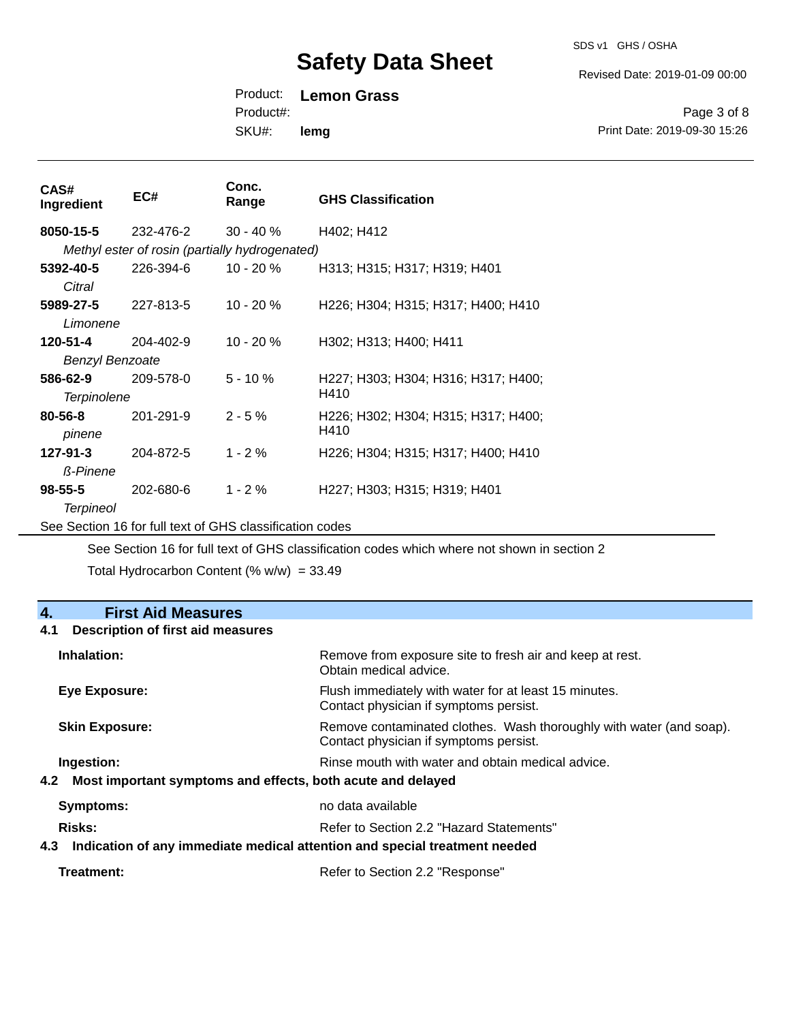SDS v1 GHS / OSHA

Revised Date: 2019-01-09 00:00

Product: **Lemon Grass**

Product#:

SKU#: **lemg**

Page 3 of 8 Print Date: 2019-09-30 15:26

| CAS#<br>Ingredient     | EC#                                                                                                                                                                                                                                                                                                                                                                                                                                                                                   | Conc.<br>Range | <b>GHS Classification</b>           |
|------------------------|---------------------------------------------------------------------------------------------------------------------------------------------------------------------------------------------------------------------------------------------------------------------------------------------------------------------------------------------------------------------------------------------------------------------------------------------------------------------------------------|----------------|-------------------------------------|
| 8050-15-5              | 232-476-2                                                                                                                                                                                                                                                                                                                                                                                                                                                                             | $30 - 40%$     | H402; H412                          |
|                        | Methyl ester of rosin (partially hydrogenated)                                                                                                                                                                                                                                                                                                                                                                                                                                        |                |                                     |
| 5392-40-5              | 226-394-6                                                                                                                                                                                                                                                                                                                                                                                                                                                                             | $10 - 20 \%$   | H313; H315; H317; H319; H401        |
| Citral                 |                                                                                                                                                                                                                                                                                                                                                                                                                                                                                       |                |                                     |
| 5989-27-5              | 227-813-5                                                                                                                                                                                                                                                                                                                                                                                                                                                                             | 10 - 20 %      | H226; H304; H315; H317; H400; H410  |
| Limonene               |                                                                                                                                                                                                                                                                                                                                                                                                                                                                                       |                |                                     |
| 120-51-4               | 204-402-9                                                                                                                                                                                                                                                                                                                                                                                                                                                                             | 10 - 20 %      | H302; H313; H400; H411              |
| <b>Benzyl Benzoate</b> |                                                                                                                                                                                                                                                                                                                                                                                                                                                                                       |                |                                     |
| 586-62-9               | 209-578-0                                                                                                                                                                                                                                                                                                                                                                                                                                                                             | $5 - 10 \%$    | H227; H303; H304; H316; H317; H400; |
| <b>Terpinolene</b>     |                                                                                                                                                                                                                                                                                                                                                                                                                                                                                       |                | H410                                |
| $80 - 56 - 8$          | 201-291-9                                                                                                                                                                                                                                                                                                                                                                                                                                                                             | $2 - 5%$       | H226; H302; H304; H315; H317; H400; |
| pinene                 |                                                                                                                                                                                                                                                                                                                                                                                                                                                                                       |                | H410                                |
| $127 - 91 - 3$         | 204-872-5                                                                                                                                                                                                                                                                                                                                                                                                                                                                             | $1 - 2%$       | H226; H304; H315; H317; H400; H410  |
| <b>ß-Pinene</b>        |                                                                                                                                                                                                                                                                                                                                                                                                                                                                                       |                |                                     |
| $98 - 55 - 5$          | 202-680-6                                                                                                                                                                                                                                                                                                                                                                                                                                                                             | $1 - 2%$       | H227; H303; H315; H319; H401        |
| <b>Terpineol</b>       |                                                                                                                                                                                                                                                                                                                                                                                                                                                                                       |                |                                     |
|                        | $\mathbf{1} \cdot \mathbf{1} \cdot \mathbf{1} \cdot \mathbf{1} \cdot \mathbf{1} \cdot \mathbf{1} \cdot \mathbf{1} \cdot \mathbf{1} \cdot \mathbf{1} \cdot \mathbf{1} \cdot \mathbf{1} \cdot \mathbf{1} \cdot \mathbf{1} \cdot \mathbf{1} \cdot \mathbf{1} \cdot \mathbf{1} \cdot \mathbf{1} \cdot \mathbf{1} \cdot \mathbf{1} \cdot \mathbf{1} \cdot \mathbf{1} \cdot \mathbf{1} \cdot \mathbf{1} \cdot \mathbf{1} \cdot \mathbf{1} \cdot \mathbf{1} \cdot \mathbf{1} \cdot \mathbf{$ |                |                                     |

See Section 16 for full text of GHS classification codes

See Section 16 for full text of GHS classification codes which where not shown in section 2

Total Hydrocarbon Content (%  $w/w$ ) = 33.49

| <b>First Aid Measures</b><br>4.                                                   |                                                                                                               |
|-----------------------------------------------------------------------------------|---------------------------------------------------------------------------------------------------------------|
| <b>Description of first aid measures</b><br>4.1                                   |                                                                                                               |
| Inhalation:                                                                       | Remove from exposure site to fresh air and keep at rest.<br>Obtain medical advice.                            |
| Eye Exposure:                                                                     | Flush immediately with water for at least 15 minutes.<br>Contact physician if symptoms persist.               |
| <b>Skin Exposure:</b>                                                             | Remove contaminated clothes. Wash thoroughly with water (and soap).<br>Contact physician if symptoms persist. |
| Ingestion:                                                                        | Rinse mouth with water and obtain medical advice.                                                             |
| Most important symptoms and effects, both acute and delayed<br>4.2                |                                                                                                               |
| <b>Symptoms:</b>                                                                  | no data available                                                                                             |
| Risks:                                                                            | Refer to Section 2.2 "Hazard Statements"                                                                      |
| Indication of any immediate medical attention and special treatment needed<br>4.3 |                                                                                                               |
| Treatment:                                                                        | Refer to Section 2.2 "Response"                                                                               |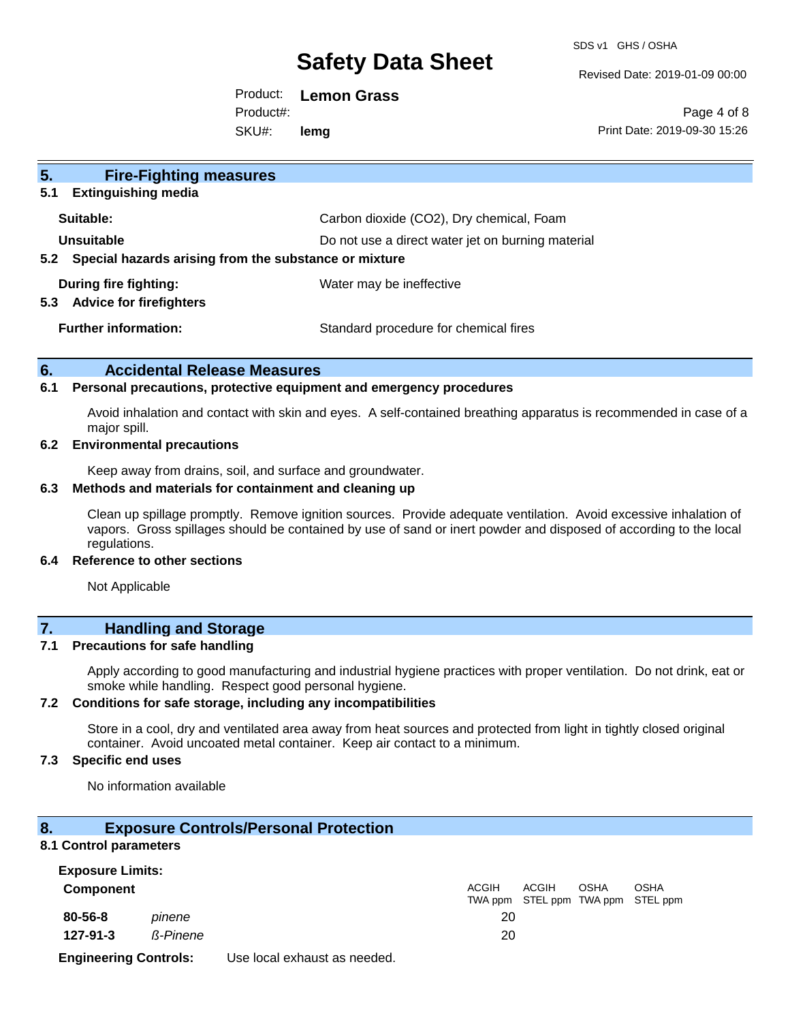SDS v1 GHS / OSHA

Revised Date: 2019-01-09 00:00

Product: **Lemon Grass** SKU#: Product#: **lemg**

Page 4 of 8 Print Date: 2019-09-30 15:26

| 5 <sub>1</sub><br><b>Fire-Fighting measures</b>                |                                                   |
|----------------------------------------------------------------|---------------------------------------------------|
| <b>Extinguishing media</b><br>5.1                              |                                                   |
| Suitable:                                                      | Carbon dioxide (CO2), Dry chemical, Foam          |
| Unsuitable                                                     | Do not use a direct water jet on burning material |
| Special hazards arising from the substance or mixture<br>5.2   |                                                   |
| During fire fighting:<br><b>Advice for firefighters</b><br>5.3 | Water may be ineffective                          |
| <b>Further information:</b>                                    | Standard procedure for chemical fires             |

#### **6. Accidental Release Measures**

#### **6.1 Personal precautions, protective equipment and emergency procedures**

Avoid inhalation and contact with skin and eyes. A self-contained breathing apparatus is recommended in case of a major spill.

#### **6.2 Environmental precautions**

Keep away from drains, soil, and surface and groundwater.

#### **6.3 Methods and materials for containment and cleaning up**

Clean up spillage promptly. Remove ignition sources. Provide adequate ventilation. Avoid excessive inhalation of vapors. Gross spillages should be contained by use of sand or inert powder and disposed of according to the local regulations.

#### **6.4 Reference to other sections**

Not Applicable

### **7. Handling and Storage**

#### **7.1 Precautions for safe handling**

Apply according to good manufacturing and industrial hygiene practices with proper ventilation. Do not drink, eat or smoke while handling. Respect good personal hygiene.

#### **7.2 Conditions for safe storage, including any incompatibilities**

Store in a cool, dry and ventilated area away from heat sources and protected from light in tightly closed original container. Avoid uncoated metal container. Keep air contact to a minimum.

#### **7.3 Specific end uses**

No information available

#### **8. Exposure Controls/Personal Protection**

#### **8.1 Control parameters**

| <b>Exposure Limits:</b>      |                 |                              |       |              |             |                                           |  |
|------------------------------|-----------------|------------------------------|-------|--------------|-------------|-------------------------------------------|--|
| Component                    |                 |                              | ACGIH | <b>ACGIH</b> | <b>OSHA</b> | OSHA<br>TWA ppm STEL ppm TWA ppm STEL ppm |  |
| 80-56-8                      | pinene          |                              | 20    |              |             |                                           |  |
| 127-91-3                     | <b>ß-Pinene</b> |                              | 20    |              |             |                                           |  |
| <b>Engineering Controls:</b> |                 | Use local exhaust as needed. |       |              |             |                                           |  |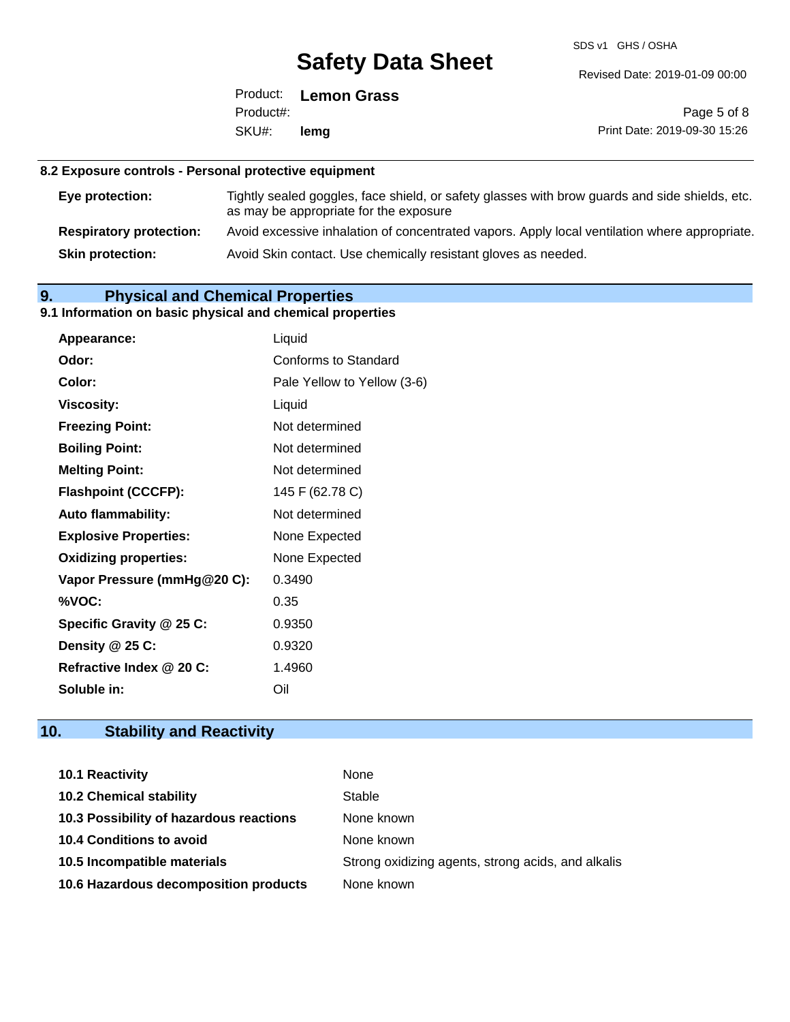SDS v1 GHS / OSHA

Revised Date: 2019-01-09 00:00

Product: **Lemon Grass** SKU#: Product#: **lemg**

Page 5 of 8 Print Date: 2019-09-30 15:26

### **8.2 Exposure controls - Personal protective equipment**

| Eye protection:                | Tightly sealed goggles, face shield, or safety glasses with brow guards and side shields, etc.<br>as may be appropriate for the exposure |
|--------------------------------|------------------------------------------------------------------------------------------------------------------------------------------|
| <b>Respiratory protection:</b> | Avoid excessive inhalation of concentrated vapors. Apply local ventilation where appropriate.                                            |
| <b>Skin protection:</b>        | Avoid Skin contact. Use chemically resistant gloves as needed.                                                                           |

### **9. Physical and Chemical Properties**

#### **9.1 Information on basic physical and chemical properties**

| Appearance:                  | Liquid                      |
|------------------------------|-----------------------------|
| Odor:                        | Conforms to Standard        |
| Color:                       | Pale Yellow to Yellow (3-6) |
| <b>Viscosity:</b>            | Liquid                      |
| <b>Freezing Point:</b>       | Not determined              |
| <b>Boiling Point:</b>        | Not determined              |
| <b>Melting Point:</b>        | Not determined              |
| <b>Flashpoint (CCCFP):</b>   | 145 F (62.78 C)             |
| <b>Auto flammability:</b>    | Not determined              |
| <b>Explosive Properties:</b> | None Expected               |
| <b>Oxidizing properties:</b> | None Expected               |
| Vapor Pressure (mmHg@20 C):  | 0.3490                      |
| %VOC:                        | 0.35                        |
| Specific Gravity @ 25 C:     | 0.9350                      |
| Density @ 25 C:              | 0.9320                      |
| Refractive Index @ 20 C:     | 1.4960                      |
| Soluble in:                  | Oil                         |

### **10. Stability and Reactivity**

| <b>10.1 Reactivity</b>                  | None                                               |
|-----------------------------------------|----------------------------------------------------|
| <b>10.2 Chemical stability</b>          | Stable                                             |
| 10.3 Possibility of hazardous reactions | None known                                         |
| <b>10.4 Conditions to avoid</b>         | None known                                         |
| 10.5 Incompatible materials             | Strong oxidizing agents, strong acids, and alkalis |
| 10.6 Hazardous decomposition products   | None known                                         |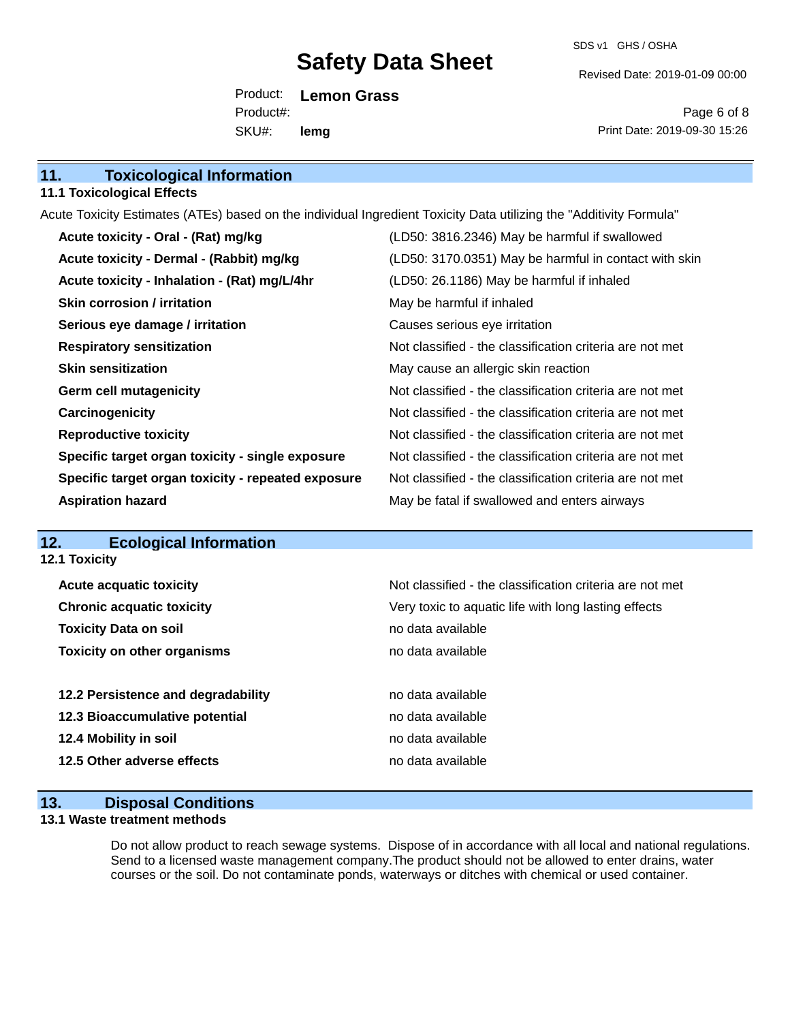SDS v1 GHS / OSHA

Revised Date: 2019-01-09 00:00

Product: **Lemon Grass** SKU#: Product#: **lemg**

Page 6 of 8 Print Date: 2019-09-30 15:26

| 11.<br><b>Toxicological Information</b> |  |
|-----------------------------------------|--|
|-----------------------------------------|--|

#### **11.1 Toxicological Effects**

Acute Toxicity Estimates (ATEs) based on the individual Ingredient Toxicity Data utilizing the "Additivity Formula"

| Acute toxicity - Oral - (Rat) mg/kg                | (LD50: 3816.2346) May be harmful if swallowed            |
|----------------------------------------------------|----------------------------------------------------------|
| Acute toxicity - Dermal - (Rabbit) mg/kg           | (LD50: 3170.0351) May be harmful in contact with skin    |
| Acute toxicity - Inhalation - (Rat) mg/L/4hr       | (LD50: 26.1186) May be harmful if inhaled                |
| <b>Skin corrosion / irritation</b>                 | May be harmful if inhaled                                |
| Serious eye damage / irritation                    | Causes serious eye irritation                            |
| <b>Respiratory sensitization</b>                   | Not classified - the classification criteria are not met |
| <b>Skin sensitization</b>                          | May cause an allergic skin reaction                      |
| <b>Germ cell mutagenicity</b>                      | Not classified - the classification criteria are not met |
| Carcinogenicity                                    | Not classified - the classification criteria are not met |
| <b>Reproductive toxicity</b>                       | Not classified - the classification criteria are not met |
| Specific target organ toxicity - single exposure   | Not classified - the classification criteria are not met |
| Specific target organ toxicity - repeated exposure | Not classified - the classification criteria are not met |
| <b>Aspiration hazard</b>                           | May be fatal if swallowed and enters airways             |

#### **12. Ecological Information**

| <b>12.1 Toxicity</b>               |                                                          |
|------------------------------------|----------------------------------------------------------|
| <b>Acute acquatic toxicity</b>     | Not classified - the classification criteria are not met |
| <b>Chronic acquatic toxicity</b>   | Very toxic to aquatic life with long lasting effects     |
| <b>Toxicity Data on soil</b>       | no data available                                        |
| <b>Toxicity on other organisms</b> | no data available                                        |
|                                    |                                                          |
| 12.2 Persistence and degradability | no data available                                        |
| 12.3 Bioaccumulative potential     | no data available                                        |
| 12.4 Mobility in soil              | no data available                                        |
| 12.5 Other adverse effects         | no data available                                        |

#### **13. Disposal Conditions**

#### **13.1 Waste treatment methods**

Do not allow product to reach sewage systems. Dispose of in accordance with all local and national regulations. Send to a licensed waste management company.The product should not be allowed to enter drains, water courses or the soil. Do not contaminate ponds, waterways or ditches with chemical or used container.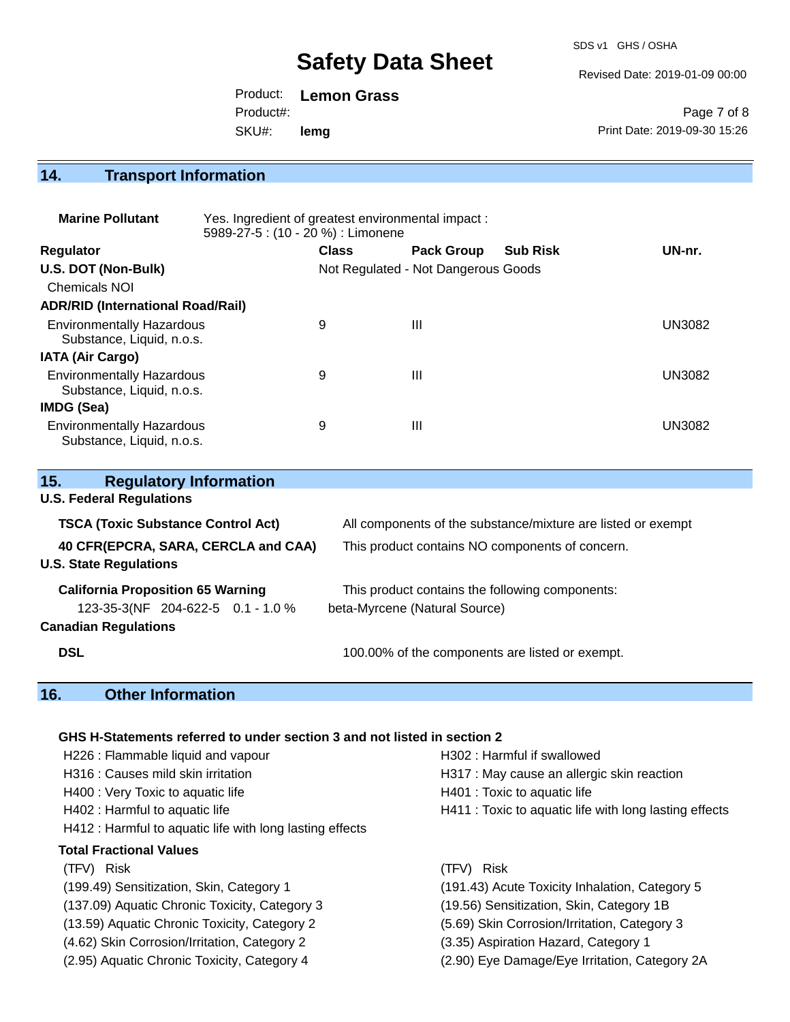SDS v1 GHS / OSHA

Revised Date: 2019-01-09 00:00

Product: **Lemon Grass** SKU#: Product#: **lemg**

Page 7 of 8 Print Date: 2019-09-30 15:26

### **14. Transport Information**

| <b>Marine Pollutant</b>                                       | Yes. Ingredient of greatest environmental impact:<br>5989-27-5 : (10 - 20 %) : Limonene |              |                                     |                 |               |
|---------------------------------------------------------------|-----------------------------------------------------------------------------------------|--------------|-------------------------------------|-----------------|---------------|
| <b>Regulator</b>                                              |                                                                                         | <b>Class</b> | <b>Pack Group</b>                   | <b>Sub Risk</b> | UN-nr.        |
| U.S. DOT (Non-Bulk)                                           |                                                                                         |              | Not Regulated - Not Dangerous Goods |                 |               |
| <b>Chemicals NOI</b>                                          |                                                                                         |              |                                     |                 |               |
| <b>ADR/RID (International Road/Rail)</b>                      |                                                                                         |              |                                     |                 |               |
| <b>Environmentally Hazardous</b><br>Substance, Liquid, n.o.s. |                                                                                         | 9            | Ш                                   |                 | <b>UN3082</b> |
| <b>IATA (Air Cargo)</b>                                       |                                                                                         |              |                                     |                 |               |
| <b>Environmentally Hazardous</b><br>Substance, Liquid, n.o.s. |                                                                                         | 9            | Ш                                   |                 | <b>UN3082</b> |
| IMDG (Sea)                                                    |                                                                                         |              |                                     |                 |               |
| <b>Environmentally Hazardous</b><br>Substance, Liquid, n.o.s. |                                                                                         | 9            | Ш                                   |                 | UN3082        |

| 15.        | <b>Regulatory Information</b>                                        |                                                              |
|------------|----------------------------------------------------------------------|--------------------------------------------------------------|
|            | <b>U.S. Federal Regulations</b>                                      |                                                              |
|            | <b>TSCA (Toxic Substance Control Act)</b>                            | All components of the substance/mixture are listed or exempt |
|            | 40 CFR(EPCRA, SARA, CERCLA and CAA)<br><b>U.S. State Regulations</b> | This product contains NO components of concern.              |
|            | <b>California Proposition 65 Warning</b>                             | This product contains the following components:              |
|            | 123-35-3(NF 204-622-5 0.1 - 1.0 %                                    | beta-Myrcene (Natural Source)                                |
|            | <b>Canadian Regulations</b>                                          |                                                              |
| <b>DSL</b> |                                                                      | 100.00% of the components are listed or exempt.              |

### **16. Other Information**

#### **GHS H-Statements referred to under section 3 and not listed in section 2**

| H226 : Flammable liquid and vapour                       | H302 : Harmful if swallowed                            |
|----------------------------------------------------------|--------------------------------------------------------|
| H316 : Causes mild skin irritation                       | H317 : May cause an allergic skin reaction             |
| H400 : Very Toxic to aquatic life                        | H401 : Toxic to aquatic life                           |
| H402 : Harmful to aquatic life                           | H411 : Toxic to aquatic life with long lasting effects |
| H412 : Harmful to aquatic life with long lasting effects |                                                        |
| <b>Total Fractional Values</b>                           |                                                        |
| (TFV) Risk                                               | (TFV) Risk                                             |
| (199.49) Sensitization, Skin, Category 1                 | (191.43) Acute Toxicity Inhalation, Category 5         |
| (137.09) Aquatic Chronic Toxicity, Category 3            | (19.56) Sensitization, Skin, Category 1B               |
| (13.59) Aquatic Chronic Toxicity, Category 2             | (5.69) Skin Corrosion/Irritation, Category 3           |
| (4.62) Skin Corrosion/Irritation, Category 2             | (3.35) Aspiration Hazard, Category 1                   |
| (2.95) Aquatic Chronic Toxicity, Category 4              | (2.90) Eye Damage/Eye Irritation, Category 2A          |
|                                                          |                                                        |